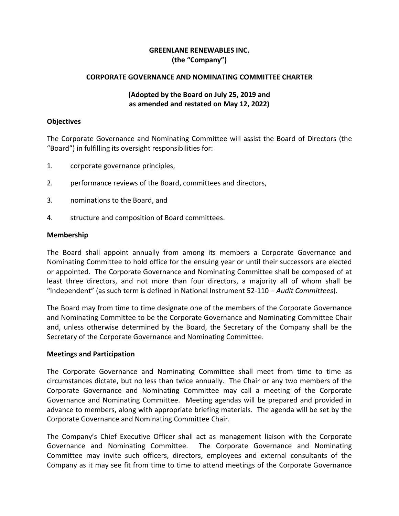## **GREENLANE RENEWABLES INC. (the "Company")**

### **CORPORATE GOVERNANCE AND NOMINATING COMMITTEE CHARTER**

## **(Adopted by the Board on July 25, 2019 and as amended and restated on May 12, 2022)**

#### **Objectives**

The Corporate Governance and Nominating Committee will assist the Board of Directors (the "Board") in fulfilling its oversight responsibilities for:

- 1. corporate governance principles,
- 2. performance reviews of the Board, committees and directors,
- 3. nominations to the Board, and
- 4. structure and composition of Board committees.

#### **Membership**

The Board shall appoint annually from among its members a Corporate Governance and Nominating Committee to hold office for the ensuing year or until their successors are elected or appointed. The Corporate Governance and Nominating Committee shall be composed of at least three directors, and not more than four directors, a majority all of whom shall be "independent" (as such term is defined in National Instrument 52-110 – *Audit Committees*).

The Board may from time to time designate one of the members of the Corporate Governance and Nominating Committee to be the Corporate Governance and Nominating Committee Chair and, unless otherwise determined by the Board, the Secretary of the Company shall be the Secretary of the Corporate Governance and Nominating Committee.

#### **Meetings and Participation**

The Corporate Governance and Nominating Committee shall meet from time to time as circumstances dictate, but no less than twice annually. The Chair or any two members of the Corporate Governance and Nominating Committee may call a meeting of the Corporate Governance and Nominating Committee. Meeting agendas will be prepared and provided in advance to members, along with appropriate briefing materials. The agenda will be set by the Corporate Governance and Nominating Committee Chair.

The Company's Chief Executive Officer shall act as management liaison with the Corporate Governance and Nominating Committee. The Corporate Governance and Nominating Committee may invite such officers, directors, employees and external consultants of the Company as it may see fit from time to time to attend meetings of the Corporate Governance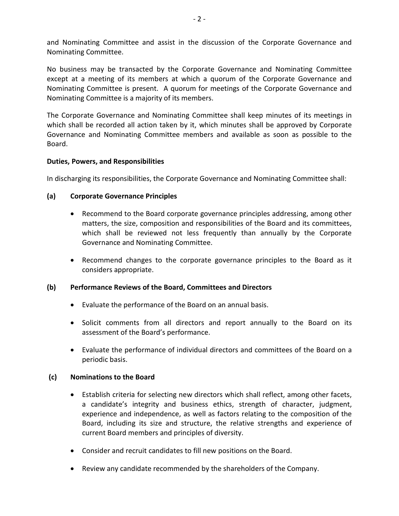and Nominating Committee and assist in the discussion of the Corporate Governance and Nominating Committee.

No business may be transacted by the Corporate Governance and Nominating Committee except at a meeting of its members at which a quorum of the Corporate Governance and Nominating Committee is present. A quorum for meetings of the Corporate Governance and Nominating Committee is a majority of its members.

The Corporate Governance and Nominating Committee shall keep minutes of its meetings in which shall be recorded all action taken by it, which minutes shall be approved by Corporate Governance and Nominating Committee members and available as soon as possible to the Board.

## **Duties, Powers, and Responsibilities**

In discharging its responsibilities, the Corporate Governance and Nominating Committee shall:

## **(a) Corporate Governance Principles**

- Recommend to the Board corporate governance principles addressing, among other matters, the size, composition and responsibilities of the Board and its committees, which shall be reviewed not less frequently than annually by the Corporate Governance and Nominating Committee.
- Recommend changes to the corporate governance principles to the Board as it considers appropriate.

### **(b) Performance Reviews of the Board, Committees and Directors**

- Evaluate the performance of the Board on an annual basis.
- Solicit comments from all directors and report annually to the Board on its assessment of the Board's performance.
- Evaluate the performance of individual directors and committees of the Board on a periodic basis.

### **(c) Nominations to the Board**

- Establish criteria for selecting new directors which shall reflect, among other facets, a candidate's integrity and business ethics, strength of character, judgment, experience and independence, as well as factors relating to the composition of the Board, including its size and structure, the relative strengths and experience of current Board members and principles of diversity.
- Consider and recruit candidates to fill new positions on the Board.
- Review any candidate recommended by the shareholders of the Company.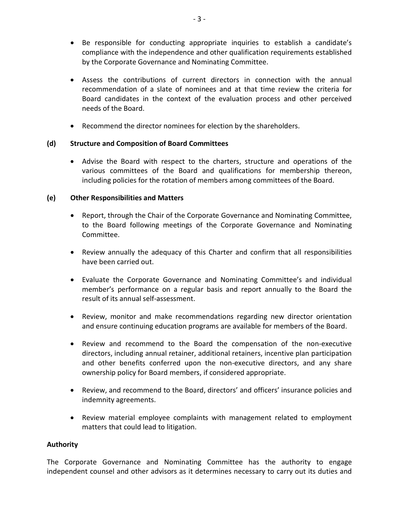- Be responsible for conducting appropriate inquiries to establish a candidate's compliance with the independence and other qualification requirements established by the Corporate Governance and Nominating Committee.
- Assess the contributions of current directors in connection with the annual recommendation of a slate of nominees and at that time review the criteria for Board candidates in the context of the evaluation process and other perceived needs of the Board.
- Recommend the director nominees for election by the shareholders.

# **(d) Structure and Composition of Board Committees**

• Advise the Board with respect to the charters, structure and operations of the various committees of the Board and qualifications for membership thereon, including policies for the rotation of members among committees of the Board.

# **(e) Other Responsibilities and Matters**

- Report, through the Chair of the Corporate Governance and Nominating Committee, to the Board following meetings of the Corporate Governance and Nominating Committee.
- Review annually the adequacy of this Charter and confirm that all responsibilities have been carried out.
- Evaluate the Corporate Governance and Nominating Committee's and individual member's performance on a regular basis and report annually to the Board the result of its annual self-assessment.
- Review, monitor and make recommendations regarding new director orientation and ensure continuing education programs are available for members of the Board.
- Review and recommend to the Board the compensation of the non-executive directors, including annual retainer, additional retainers, incentive plan participation and other benefits conferred upon the non-executive directors, and any share ownership policy for Board members, if considered appropriate.
- Review, and recommend to the Board, directors' and officers' insurance policies and indemnity agreements.
- Review material employee complaints with management related to employment matters that could lead to litigation.

# **Authority**

The Corporate Governance and Nominating Committee has the authority to engage independent counsel and other advisors as it determines necessary to carry out its duties and